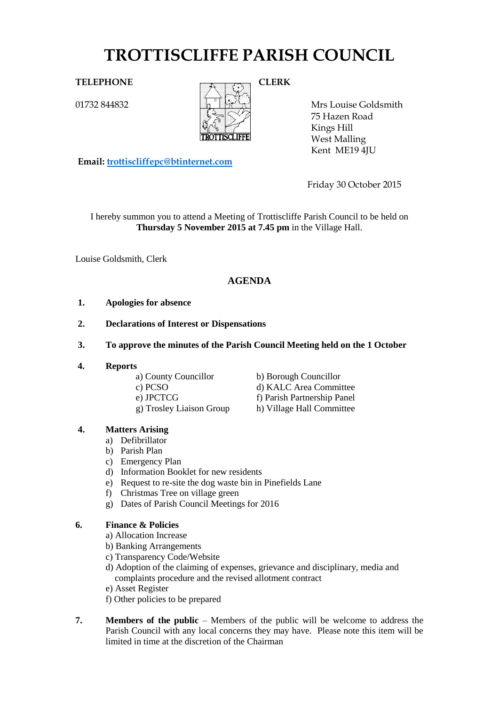# **TROTTISCLIFFE PARISH COUNCIL**

01732 844832



Mrs Louise Goldsmith 75 Hazen Road Kings Hill West Malling Kent ME19 4JU

**Email: [trottiscliffepc@btinternet.com](mailto:trottiscliffepc@btinternet.com)**

Friday 30 October 2015

I hereby summon you to attend a Meeting of Trottiscliffe Parish Council to be held on **Thursday 5 November 2015 at 7.45 pm** in the Village Hall.

Louise Goldsmith, Clerk

# **AGENDA**

- **1. Apologies for absence**
- **2. Declarations of Interest or Dispensations**
- **3. To approve the minutes of the Parish Council Meeting held on the 1 October**
- **4. Reports**

a) County Councillor b) Borough Councillor g) Trosley Liaison Group h) Village Hall Committee

c) PCSO d) KALC Area Committee e) JPCTCG f) Parish Partnership Panel

# **4. Matters Arising**

- a) Defibrillator
- b) Parish Plan
- c) Emergency Plan
- d) Information Booklet for new residents
- e) Request to re-site the dog waste bin in Pinefields Lane
- f) Christmas Tree on village green
- g) Dates of Parish Council Meetings for 2016

## **6. Finance & Policies**

- a) Allocation Increase
- b) Banking Arrangements
- c) Transparency Code/Website
- d) Adoption of the claiming of expenses, grievance and disciplinary, media and complaints procedure and the revised allotment contract
- e) Asset Register
- f) Other policies to be prepared
- **7. Members of the public** Members of the public will be welcome to address the Parish Council with any local concerns they may have. Please note this item will be limited in time at the discretion of the Chairman